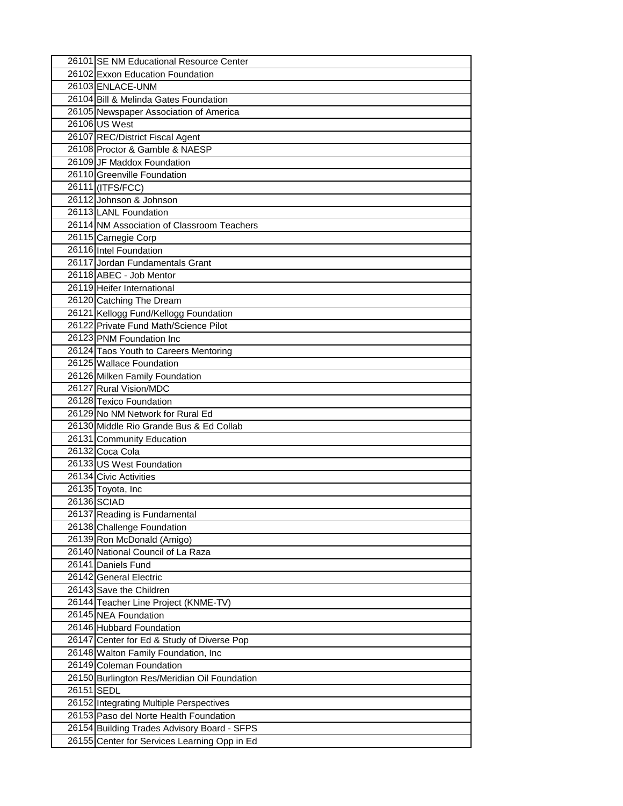| 26101 SE NM Educational Resource Center      |  |
|----------------------------------------------|--|
| 26102 Exxon Education Foundation             |  |
| 26103 ENLACE-UNM                             |  |
| 26104 Bill & Melinda Gates Foundation        |  |
| 26105 Newspaper Association of America       |  |
| 26106 US West                                |  |
| 26107 REC/District Fiscal Agent              |  |
| 26108 Proctor & Gamble & NAESP               |  |
| 26109 JF Maddox Foundation                   |  |
| 26110 Greenville Foundation                  |  |
| 26111 (ITFS/FCC)                             |  |
| 26112 Johnson & Johnson                      |  |
| 26113 LANL Foundation                        |  |
| 26114 NM Association of Classroom Teachers   |  |
|                                              |  |
| 26115 Carnegie Corp                          |  |
| 26116 Intel Foundation                       |  |
| 26117 Jordan Fundamentals Grant              |  |
| 26118 ABEC - Job Mentor                      |  |
| 26119 Heifer International                   |  |
| 26120 Catching The Dream                     |  |
| 26121 Kellogg Fund/Kellogg Foundation        |  |
| 26122 Private Fund Math/Science Pilot        |  |
| 26123 PNM Foundation Inc                     |  |
| 26124 Taos Youth to Careers Mentoring        |  |
| 26125 Wallace Foundation                     |  |
| 26126 Milken Family Foundation               |  |
| 26127 Rural Vision/MDC                       |  |
| 26128 Texico Foundation                      |  |
| 26129 No NM Network for Rural Ed             |  |
| 26130 Middle Rio Grande Bus & Ed Collab      |  |
| 26131 Community Education                    |  |
| 26132 Coca Cola                              |  |
| 26133 US West Foundation                     |  |
| 26134 Civic Activities                       |  |
| 26135 Toyota, Inc                            |  |
| 26136 SCIAD                                  |  |
| 26137 Reading is Fundamental                 |  |
| 26138 Challenge Foundation                   |  |
| 26139 Ron McDonald (Amigo)                   |  |
| 26140 National Council of La Raza            |  |
| 26141 Daniels Fund                           |  |
| 26142 General Electric                       |  |
| 26143 Save the Children                      |  |
| 26144 Teacher Line Project (KNME-TV)         |  |
| 26145 NEA Foundation                         |  |
| 26146 Hubbard Foundation                     |  |
| 26147 Center for Ed & Study of Diverse Pop   |  |
| 26148 Walton Family Foundation, Inc          |  |
| 26149 Coleman Foundation                     |  |
| 26150 Burlington Res/Meridian Oil Foundation |  |
| 26151 SEDL                                   |  |
| 26152 Integrating Multiple Perspectives      |  |
| 26153 Paso del Norte Health Foundation       |  |
| 26154 Building Trades Advisory Board - SFPS  |  |
| 26155 Center for Services Learning Opp in Ed |  |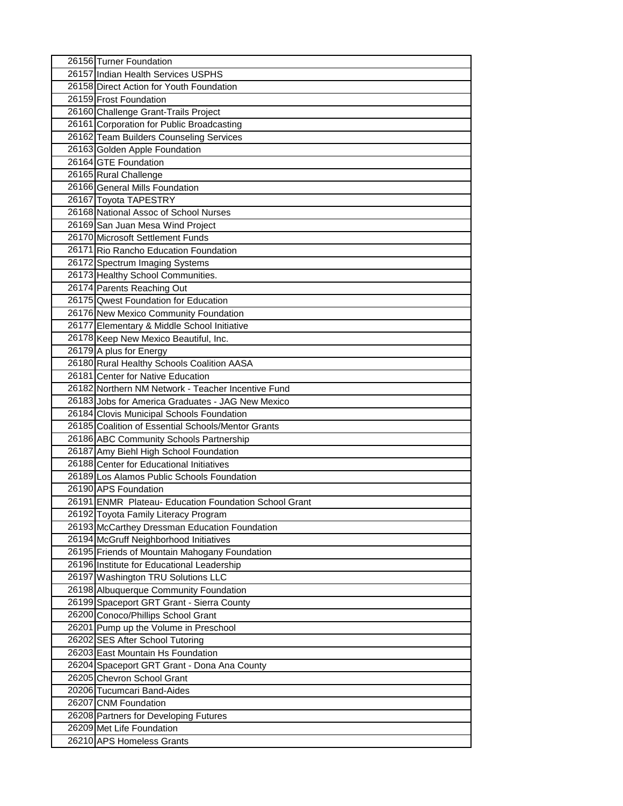| 26156 Turner Foundation                                                         |
|---------------------------------------------------------------------------------|
| 26157 Indian Health Services USPHS                                              |
| 26158 Direct Action for Youth Foundation                                        |
| 26159 Frost Foundation                                                          |
| 26160 Challenge Grant-Trails Project                                            |
| 26161 Corporation for Public Broadcasting                                       |
| 26162 Team Builders Counseling Services                                         |
| 26163 Golden Apple Foundation                                                   |
| 26164 GTE Foundation                                                            |
| 26165 Rural Challenge                                                           |
| 26166 General Mills Foundation                                                  |
| 26167 Toyota TAPESTRY                                                           |
| 26168 National Assoc of School Nurses                                           |
| 26169 San Juan Mesa Wind Project                                                |
| 26170 Microsoft Settlement Funds                                                |
| 26171 Rio Rancho Education Foundation                                           |
| 26172 Spectrum Imaging Systems                                                  |
| 26173 Healthy School Communities.                                               |
| 26174 Parents Reaching Out                                                      |
| 26175 Qwest Foundation for Education                                            |
| 26176 New Mexico Community Foundation                                           |
| 26177 Elementary & Middle School Initiative                                     |
| 26178 Keep New Mexico Beautiful, Inc.                                           |
| 26179 A plus for Energy                                                         |
| 26180 Rural Healthy Schools Coalition AASA                                      |
| 26181 Center for Native Education                                               |
| 26182 Northern NM Network - Teacher Incentive Fund                              |
| 26183 Jobs for America Graduates - JAG New Mexico                               |
| 26184 Clovis Municipal Schools Foundation                                       |
| 26185 Coalition of Essential Schools/Mentor Grants                              |
| 26186 ABC Community Schools Partnership                                         |
| 26187 Amy Biehl High School Foundation                                          |
| 26188 Center for Educational Initiatives                                        |
| 26189 Los Alamos Public Schools Foundation                                      |
| 26190 APS Foundation                                                            |
| 26191 ENMR Plateau- Education Foundation School Grant                           |
| 26192 Toyota Family Literacy Program                                            |
| 26193 McCarthey Dressman Education Foundation                                   |
| 26194 McGruff Neighborhood Initiatives                                          |
| 26195 Friends of Mountain Mahogany Foundation                                   |
| 26196 Institute for Educational Leadership                                      |
| 26197 Washington TRU Solutions LLC                                              |
| 26198 Albuquerque Community Foundation                                          |
| 26199 Spaceport GRT Grant - Sierra County<br>26200 Conoco/Phillips School Grant |
|                                                                                 |
| 26201 Pump up the Volume in Preschool<br>26202 SES After School Tutoring        |
| 26203 East Mountain Hs Foundation                                               |
| 26204 Spaceport GRT Grant - Dona Ana County                                     |
| 26205 Chevron School Grant                                                      |
| 20206 Tucumcari Band-Aides                                                      |
| 26207 CNM Foundation                                                            |
| 26208 Partners for Developing Futures                                           |
| 26209 Met Life Foundation                                                       |
| 26210 APS Homeless Grants                                                       |
|                                                                                 |